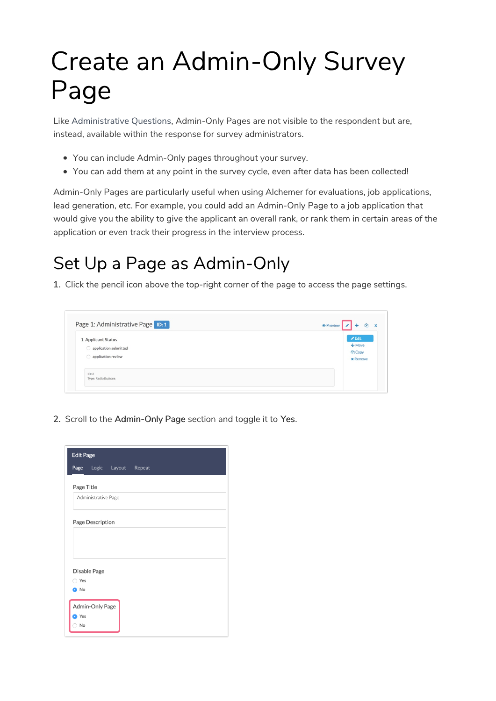# Create an Admin-Only Survey Page

Like Administrative Questions, Admin-Only Pages are not visible to the respondent but are, instead, available within the response for survey administrators.

- You can include Admin-Only pages throughout your survey.
- You can add them at any point in the survey cycle, even after data has been collected!

Admin-Only Pages are particularly useful when using Alchemer for evaluations, job applications, lead generation, etc. For example, you could add an Admin-Only Page to a job application that would give you the ability to give the applicant an overall rank, or rank them in certain areas of the application or even track their progress in the interview process.

# Set Up a Page as Admin-Only

1. Click the pencil icon above the top-right corner of the page to access the page settings.



2. Scroll to the Admin-Only Page section and toggle it to Yes.

| <b>Edit Page</b>    |                     |                          |  |  |
|---------------------|---------------------|--------------------------|--|--|
|                     |                     | Page Logic Layout Repeat |  |  |
| Page Title          |                     |                          |  |  |
|                     | Administrative Page |                          |  |  |
|                     | Page Description    |                          |  |  |
| ◯ Yes               | Disable Page        |                          |  |  |
| O No<br>• Yes<br>No | Admin-Only Page     |                          |  |  |